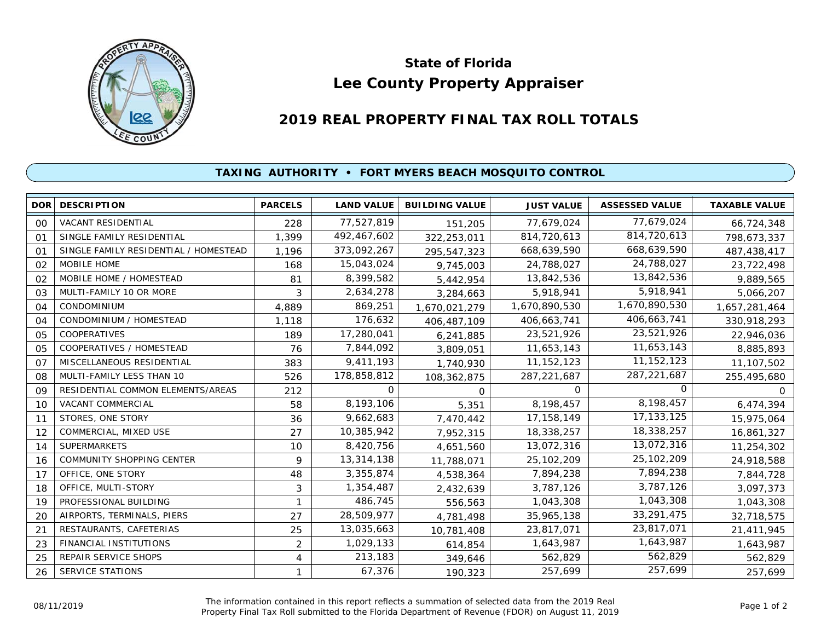

## **Lee County Property Appraiser State of Florida**

## **2019 REAL PROPERTY FINAL TAX ROLL TOTALS**

## **TAXING AUTHORITY • FORT MYERS BEACH MOSQUITO CONTROL**

| DOR <sup>1</sup> | <b>DESCRIPTION</b>                    | <b>PARCELS</b> | <b>LAND VALUE</b> | <b>BUILDING VALUE</b> | <b>JUST VALUE</b> | <b>ASSESSED VALUE</b> | <b>TAXABLE VALUE</b> |
|------------------|---------------------------------------|----------------|-------------------|-----------------------|-------------------|-----------------------|----------------------|
| 00               | <b>VACANT RESIDENTIAL</b>             | 228            | 77,527,819        | 151,205               | 77,679,024        | 77,679,024            | 66,724,348           |
| O <sub>1</sub>   | SINGLE FAMILY RESIDENTIAL             | 1,399          | 492,467,602       | 322,253,011           | 814,720,613       | 814,720,613           | 798,673,337          |
| O <sub>1</sub>   | SINGLE FAMILY RESIDENTIAL / HOMESTEAD | 1,196          | 373,092,267       | 295,547,323           | 668,639,590       | 668,639,590           | 487,438,417          |
| 02               | MOBILE HOME                           | 168            | 15,043,024        | 9,745,003             | 24,788,027        | 24,788,027            | 23,722,498           |
| 02               | MOBILE HOME / HOMESTEAD               | 81             | 8,399,582         | 5,442,954             | 13,842,536        | 13,842,536            | 9,889,565            |
| 03               | MULTI-FAMILY 10 OR MORE               | 3              | 2,634,278         | 3,284,663             | 5,918,941         | 5,918,941             | 5,066,207            |
| 04               | CONDOMINIUM                           | 4,889          | 869,251           | 1,670,021,279         | 1,670,890,530     | 1,670,890,530         | 1,657,281,464        |
| 04               | CONDOMINIUM / HOMESTEAD               | 1,118          | 176,632           | 406,487,109           | 406,663,741       | 406,663,741           | 330,918,293          |
| 05               | <b>COOPERATIVES</b>                   | 189            | 17,280,041        | 6,241,885             | 23,521,926        | 23,521,926            | 22,946,036           |
| 05               | COOPERATIVES / HOMESTEAD              | 76             | 7,844,092         | 3,809,051             | 11,653,143        | 11,653,143            | 8,885,893            |
| O <sub>7</sub>   | MISCELLANEOUS RESIDENTIAL             | 383            | 9,411,193         | 1,740,930             | 11, 152, 123      | 11, 152, 123          | 11,107,502           |
| 08               | MULTI-FAMILY LESS THAN 10             | 526            | 178,858,812       | 108,362,875           | 287, 221, 687     | 287, 221, 687         | 255,495,680          |
| 09               | RESIDENTIAL COMMON ELEMENTS/AREAS     | 212            | 0                 | $\Omega$              | $\Omega$          | O                     | O.                   |
| 10               | <b>VACANT COMMERCIAL</b>              | 58             | 8,193,106         | 5,351                 | 8,198,457         | 8,198,457             | 6,474,394            |
| 11               | STORES, ONE STORY                     | 36             | 9,662,683         | 7,470,442             | 17, 158, 149      | 17, 133, 125          | 15,975,064           |
| 12               | COMMERCIAL, MIXED USE                 | 27             | 10,385,942        | 7,952,315             | 18,338,257        | 18,338,257            | 16,861,327           |
| 14               | <b>SUPERMARKETS</b>                   | 10             | 8,420,756         | 4,651,560             | 13,072,316        | 13,072,316            | 11,254,302           |
| 16               | COMMUNITY SHOPPING CENTER             | 9              | 13,314,138        | 11,788,071            | 25, 102, 209      | 25,102,209            | 24,918,588           |
| 17               | OFFICE, ONE STORY                     | 48             | 3,355,874         | 4,538,364             | 7,894,238         | 7,894,238             | 7,844,728            |
| 18               | OFFICE, MULTI-STORY                   | 3              | 1,354,487         | 2,432,639             | 3,787,126         | 3,787,126             | 3,097,373            |
| 19               | PROFESSIONAL BUILDING                 | $\mathbf{1}$   | 486,745           | 556,563               | 1,043,308         | 1,043,308             | 1,043,308            |
| 20               | AIRPORTS, TERMINALS, PIERS            | 27             | 28,509,977        | 4,781,498             | 35,965,138        | 33,291,475            | 32,718,575           |
| 21               | RESTAURANTS, CAFETERIAS               | 25             | 13,035,663        | 10,781,408            | 23,817,071        | 23,817,071            | 21,411,945           |
| 23               | FINANCIAL INSTITUTIONS                | $\overline{2}$ | 1,029,133         | 614,854               | 1,643,987         | 1,643,987             | 1,643,987            |
| 25               | REPAIR SERVICE SHOPS                  | 4              | 213,183           | 349,646               | 562,829           | 562,829               | 562,829              |
| 26               | SERVICE STATIONS                      | 1              | 67,376            | 190,323               | 257,699           | 257,699               | 257,699              |